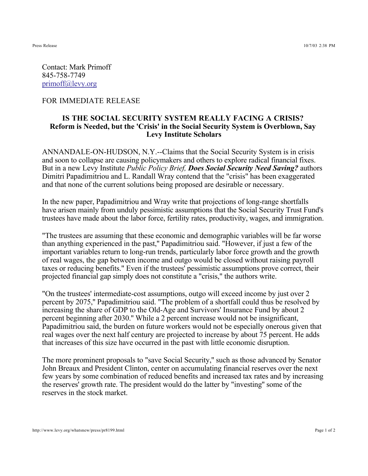Press Release 10/7/03 2:38 PM

Contact: Mark Primoff 845-758-7749 primoff@levy.org

## FOR IMMEDIATE RELEASE

## **IS THE SOCIAL SECURITY SYSTEM REALLY FACING A CRISIS? Reform is Needed, but the 'Crisis' in the Social Security System is Overblown, Say Levy Institute Scholars**

ANNANDALE-ON-HUDSON, N.Y.--Claims that the Social Security System is in crisis and soon to collapse are causing policymakers and others to explore radical financial fixes. But in a new Levy Institute *Public Policy Brief, Does Social Security Need Saving?* authors Dimitri Papadimitriou and L. Randall Wray contend that the "crisis" has been exaggerated and that none of the current solutions being proposed are desirable or necessary.

In the new paper, Papadimitriou and Wray write that projections of long-range shortfalls have arisen mainly from unduly pessimistic assumptions that the Social Security Trust Fund's trustees have made about the labor force, fertility rates, productivity, wages, and immigration.

"The trustees are assuming that these economic and demographic variables will be far worse than anything experienced in the past,'' Papadimitriou said. "However, if just a few of the important variables return to long-run trends, particularly labor force growth and the growth of real wages, the gap between income and outgo would be closed without raising payroll taxes or reducing benefits." Even if the trustees' pessimistic assumptions prove correct, their projected financial gap simply does not constitute a "crisis," the authors write.

"On the trustees' intermediate-cost assumptions, outgo will exceed income by just over 2 percent by 2075,'' Papadimitriou said. "The problem of a shortfall could thus be resolved by increasing the share of GDP to the Old-Age and Survivors' Insurance Fund by about 2 percent beginning after 2030.'' While a 2 percent increase would not be insignificant, Papadimitriou said, the burden on future workers would not be especially onerous given that real wages over the next half century are projected to increase by about 75 percent. He adds that increases of this size have occurred in the past with little economic disruption.

The more prominent proposals to "save Social Security,'' such as those advanced by Senator John Breaux and President Clinton, center on accumulating financial reserves over the next few years by some combination of reduced benefits and increased tax rates and by increasing the reserves' growth rate. The president would do the latter by "investing'' some of the reserves in the stock market.